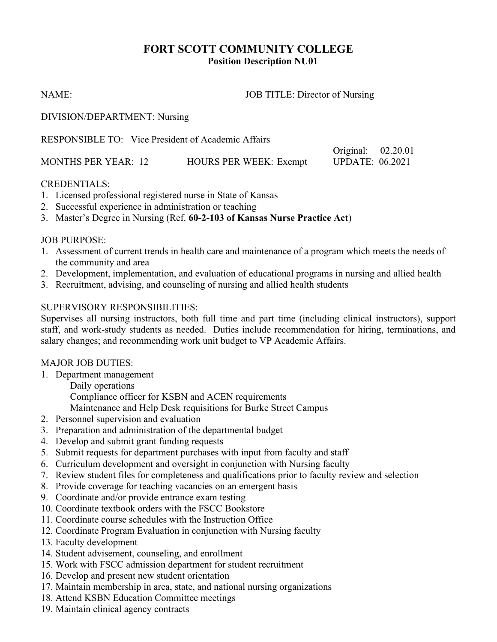# **FORT SCOTT COMMUNITY COLLEGE Position Description NU01**

NAME: JOB TITLE: Director of Nursing

Original: 02.20.01

DIVISION/DEPARTMENT: Nursing

RESPONSIBLE TO: Vice President of Academic Affairs

|                            |                               | -----------            | $     -$ |
|----------------------------|-------------------------------|------------------------|----------|
| <b>MONTHS PER YEAR: 12</b> | <b>HOURS PER WEEK: Exempt</b> | <b>UPDATE: 06.2021</b> |          |

### CREDENTIALS:

- 1. Licensed professional registered nurse in State of Kansas
- 2. Successful experience in administration or teaching
- 3. Master's Degree in Nursing (Ref. **60-2-103 of Kansas Nurse Practice Act**)

### JOB PURPOSE:

- 1. Assessment of current trends in health care and maintenance of a program which meets the needs of the community and area
- 2. Development, implementation, and evaluation of educational programs in nursing and allied health
- 3. Recruitment, advising, and counseling of nursing and allied health students

# SUPERVISORY RESPONSIBILITIES:

Supervises all nursing instructors, both full time and part time (including clinical instructors), support staff, and work-study students as needed. Duties include recommendation for hiring, terminations, and salary changes; and recommending work unit budget to VP Academic Affairs.

# MAJOR JOB DUTIES:

1. Department management

Daily operations Compliance officer for KSBN and ACEN requirements Maintenance and Help Desk requisitions for Burke Street Campus

- 2. Personnel supervision and evaluation
- 3. Preparation and administration of the departmental budget
- 4. Develop and submit grant funding requests
- 5. Submit requests for department purchases with input from faculty and staff
- 6. Curriculum development and oversight in conjunction with Nursing faculty
- 7. Review student files for completeness and qualifications prior to faculty review and selection
- 8. Provide coverage for teaching vacancies on an emergent basis
- 9. Coordinate and/or provide entrance exam testing
- 10. Coordinate textbook orders with the FSCC Bookstore
- 11. Coordinate course schedules with the Instruction Office
- 12. Coordinate Program Evaluation in conjunction with Nursing faculty
- 13. Faculty development
- 14. Student advisement, counseling, and enrollment
- 15. Work with FSCC admission department for student recruitment
- 16. Develop and present new student orientation
- 17. Maintain membership in area, state, and national nursing organizations
- 18. Attend KSBN Education Committee meetings
- 19. Maintain clinical agency contracts